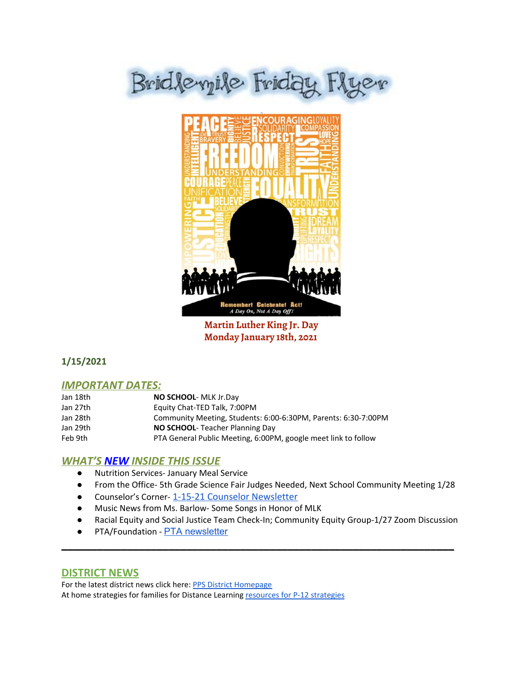# Bridleyile Friday Flyer



**Martin Luther King Jr. Day Monday January 18th, 2021**

## **1/15/2021**

## *IMPORTANT DATES:*

| Jan 18th | <b>NO SCHOOL- MLK Jr.Day</b>                                   |
|----------|----------------------------------------------------------------|
| Jan 27th | Equity Chat-TED Talk, 7:00PM                                   |
| Jan 28th | Community Meeting, Students: 6:00-6:30PM, Parents: 6:30-7:00PM |
| Jan 29th | <b>NO SCHOOL-</b> Teacher Planning Day                         |
| Feb 9th  | PTA General Public Meeting, 6:00PM, google meet link to follow |

## *WHAT'S NEW INSIDE THIS ISSUE*

- Nutrition Services- January Meal Service
- From the Office- 5th Grade Science Fair Judges Needed, Next School Community Meeting 1/28
- Counselor's Corner-[1-15-21 Counselor Newsletter](https://docs.google.com/document/d/1xX-U0Ogm19Kn8dUd_AmgP0JpyaTE-2VRit0unoWRdeM/edit?usp=sharing)
- Music News from Ms. Barlow- Some Songs in Honor of MLK
- Racial Equity and Social Justice Team Check-In; Community Equity Group-1/27 Zoom Discussion

\_\_\_\_\_\_\_\_\_\_\_\_\_\_\_\_\_\_\_\_\_\_\_\_\_\_\_\_\_\_\_\_\_\_\_\_\_\_\_\_\_\_\_\_\_\_\_\_\_\_\_\_\_\_\_\_\_\_\_\_\_\_\_\_\_\_

● PTA/Foundation - PTA [newsletter](https://docs.google.com/document/d/e/2PACX-1vQlZCPHtKxqO7qpJwiwgoeaZ1ERHVLgg6z0JNYJMTulwn7xlOVY_X2I1ZV9nntsGHP57LEZ_uSufaFj/pub)

#### **DISTRICT NEWS**

For the latest district news click here: PPS District [Homepage](https://www.pps.net/portland) At home [strategies](https://sites.google.com/pps.net/athomestrategies/home) for families for Distance Learning resources for P-12 strategies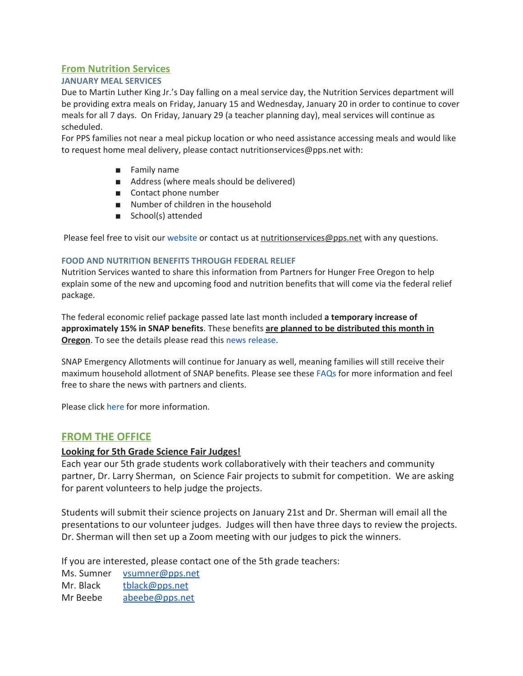## **From Nutrition Services**

#### **JANUARY MEAL SERVICES**

Due to Martin Luther King Jr.'s Day falling on a meal service day, the Nutrition Services department will be providing extra meals on Friday, January 15 and Wednesday, January 20 in order to continue to cover meals for all 7 days. On Friday, January 29 (a teacher planning day), meal services will continue as scheduled.

For PPS families not near a meal pickup location or who need assistance accessing meals and would like to request home meal delivery, please contact nutritionservices@pps.net with:

- Family name
- Address (where meals should be delivered)
- Contact phone number
- Number of children in the household
- School(s) attended

Please feel free to visit our [website](https://www.pps.net/nutrition) or contact us at nutritionservices@pps.net with any questions.

#### **FOOD AND NUTRITION BENEFITS THROUGH FEDERAL RELIEF**

Nutrition Services wanted to share this information from Partners for Hunger Free Oregon to help explain some of the new and upcoming food and nutrition benefits that will come via the federal relief package.

The federal economic relief package passed late last month included **a temporary increase of approximately 15% in SNAP benefits**. These benefits **are planned to be distributed this month in Oregon**. To see the details please read this news [release](https://www.oregon.gov/dhs/DHSNEWS/NewsReleases/20210107_PressRelease_EA_SNAP.pdf).

SNAP Emergency Allotments will continue for January as well, meaning families will still receive their maximum household allotment of SNAP benefits. Please see these [FAQs](https://www.oregon.gov/dhs/ASSISTANCE/FOOD-BENEFITS/Pages/SNAP-FAQs.aspx) for more information and feel free to share the news with partners and clients.

Please click [here](https://docs.google.com/document/d/10SyfeaZL38qJRKC9-lco6WbmyW-LrLhOqmdWQfr88hc/edit) for more information.

## **FROM THE OFFICE**

#### **Looking for 5th Grade Science Fair Judges!**

Each year our 5th grade students work collaboratively with their teachers and community partner, Dr. Larry Sherman, on Science Fair projects to submit for competition. We are asking for parent volunteers to help judge the projects.

Students will submit their science projects on January 21st and Dr. Sherman will email all the presentations to our volunteer judges. Judges will then have three days to review the projects. Dr. Sherman will then set up a Zoom meeting with our judges to pick the winners.

If you are interested, please contact one of the 5th grade teachers:

Ms. Sumner [vsumner@pps.net](mailto:vsumner@pps.net) Mr. Black [tblack@pps.net](mailto:tblack@pps.net)

Mr Beebe [abeebe@pps.net](mailto:abeebe@pps.net)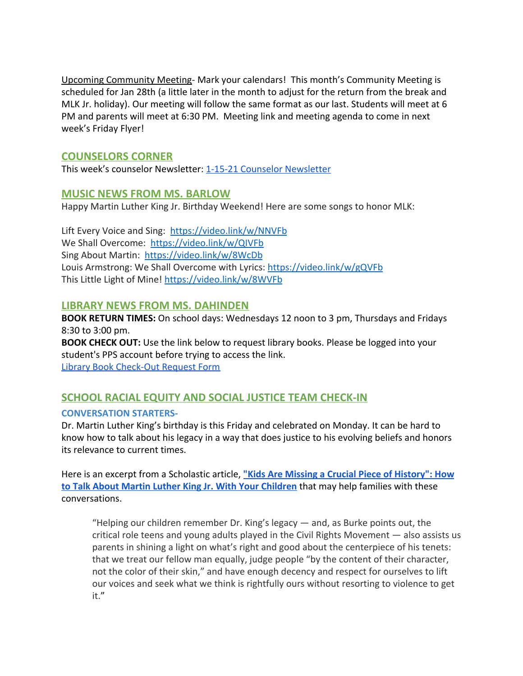Upcoming Community Meeting- Mark your calendars! This month's Community Meeting is scheduled for Jan 28th (a little later in the month to adjust for the return from the break and MLK Jr. holiday). Our meeting will follow the same format as our last. Students will meet at 6 PM and parents will meet at 6:30 PM. Meeting link and meeting agenda to come in next week's Friday Flyer!

## **COUNSELORS CORNER**

This week's counselor Newsletter: [1-15-21 Counselor Newsletter](https://docs.google.com/document/d/1xX-U0Ogm19Kn8dUd_AmgP0JpyaTE-2VRit0unoWRdeM/edit?usp=sharing)

## **MUSIC NEWS FROM MS. BARLOW**

Happy Martin Luther King Jr. Birthday Weekend! Here are some songs to honor MLK:

Lift Every Voice and Sing: <https://video.link/w/NNVFb> We Shall Overcome: <https://video.link/w/QIVFb> Sing About Martin: <https://video.link/w/8WcDb> Louis Armstrong: We Shall Overcome with Lyrics: <https://video.link/w/gQVFb> This Little Light of Mine! <https://video.link/w/8WVFb>

## **LIBRARY NEWS FROM MS. DAHINDEN**

**BOOK RETURN TIMES:** On school days: Wednesdays 12 noon to 3 pm, Thursdays and Fridays 8:30 to 3:00 pm.

**BOOK CHECK OUT:** Use the link below to request library books. Please be logged into your student's PPS account before trying to access the link. [Library Book Check-Out Request Form](https://docs.google.com/forms/d/1xEGdx-amzrGt6XojZPw1T7-69WS4khrku0Vd_1MJj1g/edit)

## **SCHOOL RACIAL EQUITY AND SOCIAL JUSTICE TEAM CHECK-IN**

## **CONVERSATION STARTERS-**

Dr. Martin Luther King's birthday is this Friday and celebrated on Monday. It can be hard to know how to talk about his legacy in a way that does justice to his evolving beliefs and honors its relevance to current times.

Here is an excerpt from a Scholastic article, **["Kids Are Missing a Crucial Piece of History": How](https://www.scholastic.com/parents/family-life/parent-child/teaching-kids-about-martin-luther-king-jr.html) [to Talk About Martin Luther King Jr. With Your Children](https://www.scholastic.com/parents/family-life/parent-child/teaching-kids-about-martin-luther-king-jr.html)** that may help families with these conversations.

"Helping our children remember Dr. King's legacy — and, as Burke points out, the critical role teens and young adults played in the Civil Rights Movement — also assists us parents in shining a light on what's right and good about the centerpiece of his tenets: that we treat our fellow man equally, judge people "by the content of their character, not the color of their skin," and have enough decency and respect for ourselves to lift our voices and seek what we think is rightfully ours without resorting to violence to get it."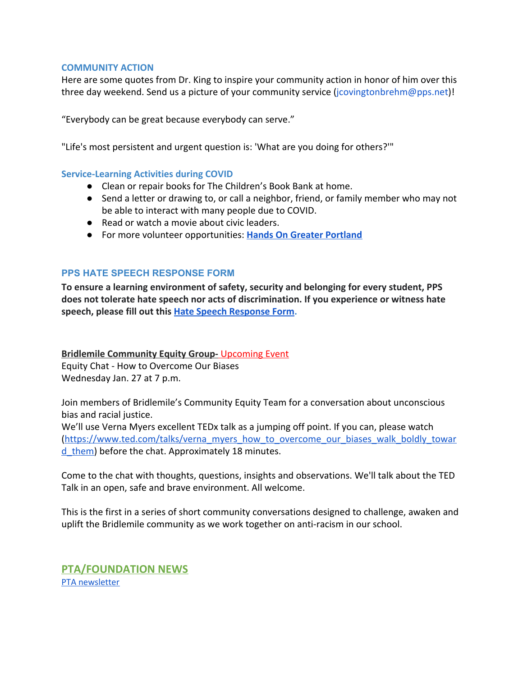#### **COMMUNITY ACTION**

Here are some quotes from Dr. King to inspire your community action in honor of him over this three day weekend. Send us a picture of your community service (jcovingtonbrehm@pps.net)!

"Everybody can be great because everybody can serve."

"Life's most persistent and urgent question is: 'What are you doing for others?'"

#### **Service-Learning Activities during COVID**

- Clean or repair books for The Children's Book Bank at home.
- Send a letter or drawing to, or call a neighbor, friend, or family member who may not be able to interact with many people due to COVID.
- Read or watch a movie about civic leaders.
- **●** For more volunteer opportunities: **[Hands On Greater Portland](https://www.handsonportland.org/)**

#### **PPS HATE SPEECH RESPONSE FORM**

**To ensure a learning environment of safety, security and belonging for every student, PPS does not tolerate hate speech nor acts of discrimination. If you experience or witness hate speech, please fill out this [Hate Speech Response Form.](https://docs.google.com/forms/d/e/1FAIpQLScBgOKMOV-xv4yfPk9DnciUMqkQ7E_Us3JaXcTf_lUIUmWnoA/viewform)**

**Bridlemile Community Equity Group-** Upcoming Event Equity Chat - How to Overcome Our Biases Wednesday Jan. 27 at 7 p.m.

Join members of Bridlemile's Community Equity Team for a conversation about unconscious bias and racial justice.

We'll use Verna Myers excellent TEDx talk as a jumping off point. If you can, please watch ([https://www.ted.com/talks/verna\\_myers\\_how\\_to\\_overcome\\_our\\_biases\\_walk\\_boldly\\_towar](https://www.ted.com/talks/verna_myers_how_to_overcome_our_biases_walk_boldly_toward_them) d them) before the chat. Approximately 18 minutes.

Come to the chat with thoughts, questions, insights and observations. We'll talk about the TED Talk in an open, safe and brave environment. All welcome.

This is the first in a series of short community conversations designed to challenge, awaken and uplift the Bridlemile community as we work together on anti-racism in our school.

**PTA/FOUNDATION NEWS** PTA [newsletter](https://docs.google.com/document/d/e/2PACX-1vQlZCPHtKxqO7qpJwiwgoeaZ1ERHVLgg6z0JNYJMTulwn7xlOVY_X2I1ZV9nntsGHP57LEZ_uSufaFj/pub)